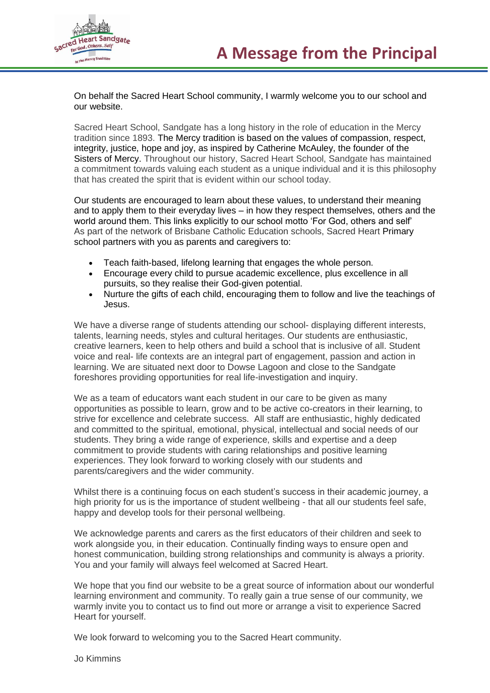

On behalf the Sacred Heart School community, I warmly welcome you to our school and our website.

Sacred Heart School, Sandgate has a long history in the role of education in the Mercy tradition since 1893. The Mercy tradition is based on the values of compassion, respect, integrity, justice, hope and joy, as inspired by Catherine McAuley, the founder of the Sisters of Mercy. Throughout our history, Sacred Heart School, Sandgate has maintained a commitment towards valuing each student as a unique individual and it is this philosophy that has created the spirit that is evident within our school today.

Our students are encouraged to learn about these values, to understand their meaning and to apply them to their everyday lives – in how they respect themselves, others and the world around them. This links explicitly to our school motto 'For God, others and self' As part of the network of Brisbane Catholic Education schools, Sacred Heart Primary school partners with you as parents and caregivers to:

- Teach faith-based, lifelong learning that engages the whole person.
- Encourage every child to pursue academic excellence, plus excellence in all pursuits, so they realise their God-given potential.
- Nurture the gifts of each child, encouraging them to follow and live the teachings of Jesus.

We have a diverse range of students attending our school- displaying different interests, talents, learning needs, styles and cultural heritages. Our students are enthusiastic, creative learners, keen to help others and build a school that is inclusive of all. Student voice and real- life contexts are an integral part of engagement, passion and action in learning. We are situated next door to Dowse Lagoon and close to the Sandgate foreshores providing opportunities for real life-investigation and inquiry.

We as a team of educators want each student in our care to be given as many opportunities as possible to learn, grow and to be active co-creators in their learning, to strive for excellence and celebrate success. All staff are enthusiastic, highly dedicated and committed to the spiritual, emotional, physical, intellectual and social needs of our students. They bring a wide range of experience, skills and expertise and a deep commitment to provide students with caring relationships and positive learning experiences. They look forward to working closely with our students and parents/caregivers and the wider community.

Whilst there is a continuing focus on each student's success in their academic journey, a high priority for us is the importance of student wellbeing - that all our students feel safe, happy and develop tools for their personal wellbeing.

We acknowledge parents and carers as the first educators of their children and seek to work alongside you, in their education. Continually finding ways to ensure open and honest communication, building strong relationships and community is always a priority. You and your family will always feel welcomed at Sacred Heart.

We hope that you find our website to be a great source of information about our wonderful learning environment and community. To really gain a true sense of our community, we warmly invite you to contact us to find out more or arrange a visit to experience Sacred Heart for yourself.

We look forward to welcoming you to the Sacred Heart community.

Jo Kimmins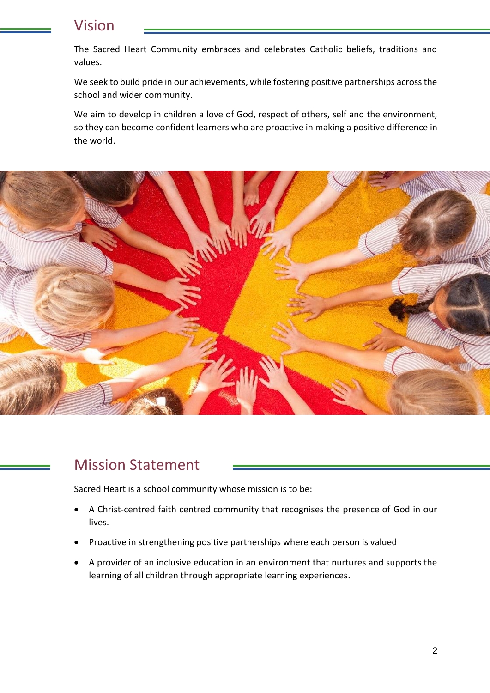# Vision

The Sacred Heart Community embraces and celebrates Catholic beliefs, traditions and values.

We seek to build pride in our achievements, while fostering positive partnerships across the school and wider community.

We aim to develop in children a love of God, respect of others, self and the environment, so they can become confident learners who are proactive in making a positive difference in the world.



## Mission Statement

Sacred Heart is a school community whose mission is to be:

- A Christ-centred faith centred community that recognises the presence of God in our lives.
- Proactive in strengthening positive partnerships where each person is valued
- A provider of an inclusive education in an environment that nurtures and supports the learning of all children through appropriate learning experiences.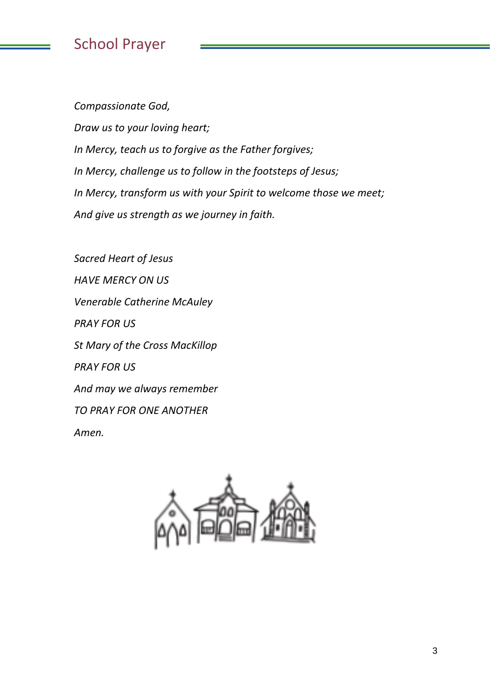# School Prayer

*Compassionate God, Draw us to your loving heart; In Mercy, teach us to forgive as the Father forgives; In Mercy, challenge us to follow in the footsteps of Jesus; In Mercy, transform us with your Spirit to welcome those we meet; And give us strength as we journey in faith.*

*Sacred Heart of Jesus HAVE MERCY ON US Venerable Catherine McAuley PRAY FOR US St Mary of the Cross MacKillop PRAY FOR US And may we always remember TO PRAY FOR ONE ANOTHER Amen.*

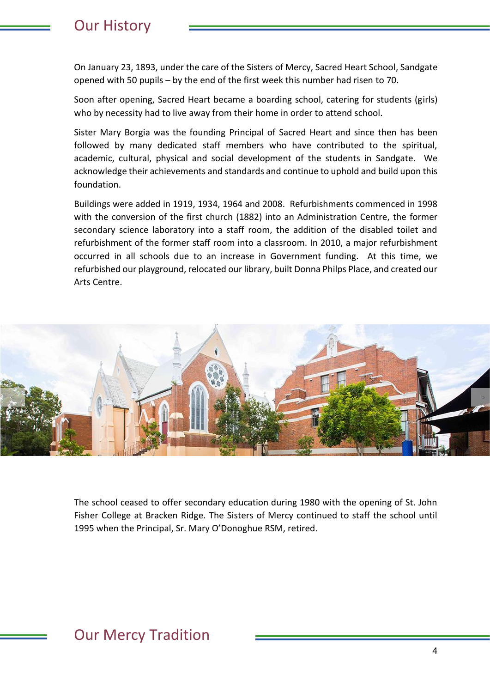## Our History

On January 23, 1893, under the care of the Sisters of Mercy, Sacred Heart School, Sandgate opened with 50 pupils – by the end of the first week this number had risen to 70.

Soon after opening, Sacred Heart became a boarding school, catering for students (girls) who by necessity had to live away from their home in order to attend school.

Sister Mary Borgia was the founding Principal of Sacred Heart and since then has been followed by many dedicated staff members who have contributed to the spiritual, academic, cultural, physical and social development of the students in Sandgate. We acknowledge their achievements and standards and continue to uphold and build upon this foundation.

Buildings were added in 1919, 1934, 1964 and 2008. Refurbishments commenced in 1998 with the conversion of the first church (1882) into an Administration Centre, the former secondary science laboratory into a staff room, the addition of the disabled toilet and refurbishment of the former staff room into a classroom. In 2010, a major refurbishment occurred in all schools due to an increase in Government funding. At this time, we refurbished our playground, relocated our library, built Donna Philps Place, and created our Arts Centre.



The school ceased to offer secondary education during 1980 with the opening of St. John Fisher College at Bracken Ridge. The Sisters of Mercy continued to staff the school until 1995 when the Principal, Sr. Mary O'Donoghue RSM, retired.

# Our Mercy Tradition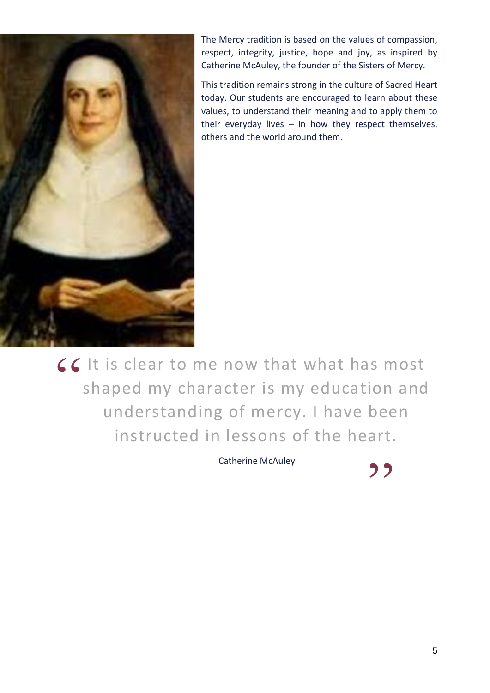

The Mercy tradition is based on the values of compassion, respect, integrity, justice, hope and joy, as inspired by Catherine McAuley, the founder of the Sisters of Mercy.

This tradition remains strong in the culture of Sacred Heart today. Our students are encouraged to learn about these values, to understand their meaning and to apply them to their everyday lives  $-$  in how they respect themselves, others and the world around them.

**CC** It is clear to me now that what has most<br>shaped my character is my education and shaped my character is my education and understanding of mercy. I have been instructed in lessons of the heart.

Catherine McAuley

,,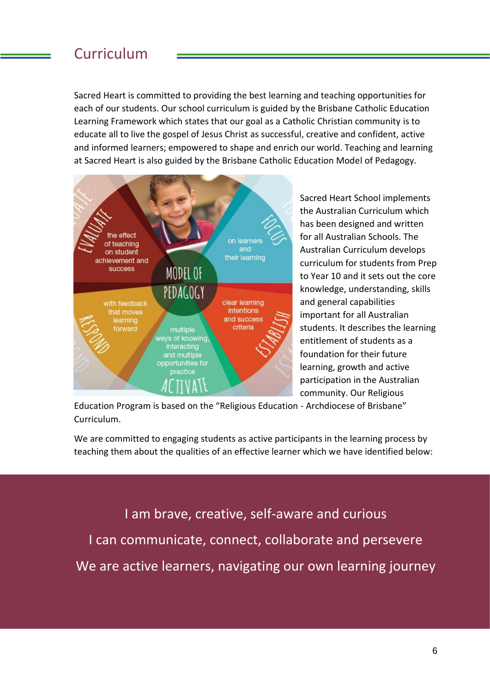## Curriculum

Sacred Heart is committed to providing the best learning and teaching opportunities for each of our students. Our school curriculum is guided by the Brisbane Catholic Education Learning Framework which states that our goal as a Catholic Christian community is to educate all to live the gospel of Jesus Christ as successful, creative and confident, active and informed learners; empowered to shape and enrich our world. Teaching and learning at Sacred Heart is also guided by the Brisbane Catholic Education Model of Pedagogy.



Sacred Heart School implements the Australian Curriculum which has been designed and written for all Australian Schools. The Australian Curriculum develops curriculum for students from Prep to Year 10 and it sets out the core knowledge, understanding, skills and general capabilities important for all Australian students. It describes the learning entitlement of students as a foundation for their future learning, growth and active participation in the Australian community. Our Religious

Education Program is based on the "Religious Education - Archdiocese of Brisbane" Curriculum.

We are committed to engaging students as active participants in the learning process by teaching them about the qualities of an effective learner which we have identified below:

I am brave, creative, self-aware and curious I can communicate, connect, collaborate and persevere We are active learners, navigating our own learning journey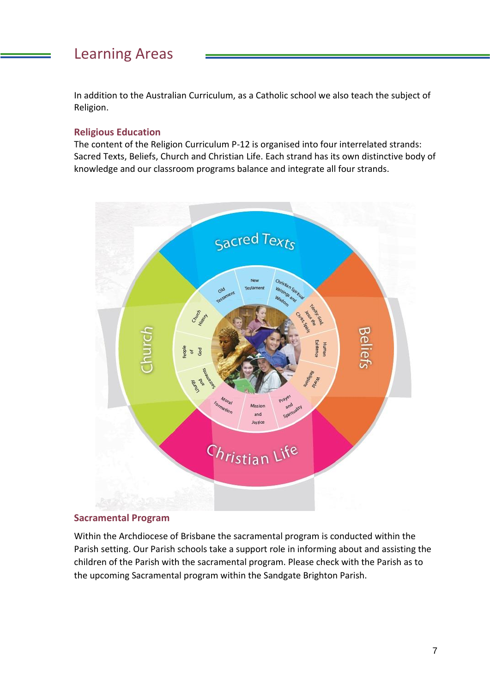# Learning Areas

In addition to the Australian Curriculum, as a Catholic school we also teach the subject of Religion.

#### **Religious Education**

The content of the Religion Curriculum P-12 is organised into four interrelated strands: Sacred Texts, Beliefs, Church and Christian Life. Each strand has its own distinctive body of knowledge and our classroom programs balance and integrate all four strands.



#### **Sacramental Program**

Within the Archdiocese of Brisbane the sacramental program is conducted within the Parish setting. Our Parish schools take a support role in informing about and assisting the children of the Parish with the sacramental program. Please check with the Parish as to the upcoming Sacramental program within the Sandgate Brighton Parish.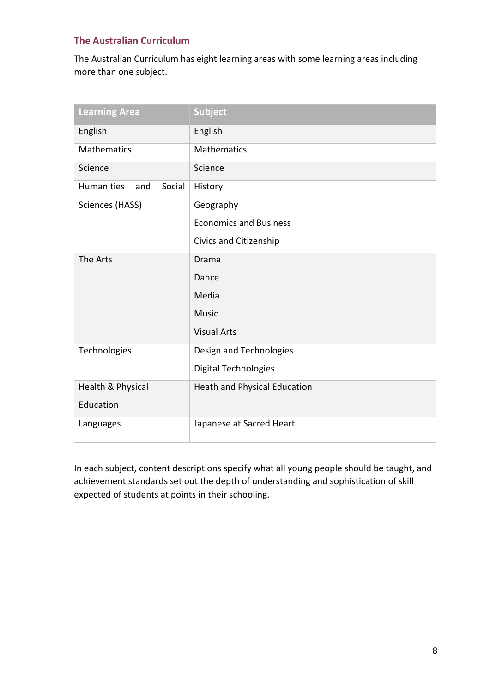## **The Australian Curriculum**

The Australian Curriculum has eight learning areas with some learning areas including more than one subject.

| <b>Learning Area</b>               | <b>Subject</b>                |
|------------------------------------|-------------------------------|
| English                            | English                       |
| <b>Mathematics</b>                 | <b>Mathematics</b>            |
| Science                            | Science                       |
| <b>Humanities</b><br>Social<br>and | History                       |
| Sciences (HASS)                    | Geography                     |
|                                    | <b>Economics and Business</b> |
|                                    | Civics and Citizenship        |
| The Arts                           | Drama                         |
|                                    | Dance                         |
|                                    | Media                         |
|                                    | <b>Music</b>                  |
|                                    | <b>Visual Arts</b>            |
| Technologies                       | Design and Technologies       |
|                                    | Digital Technologies          |
| Health & Physical                  | Heath and Physical Education  |
| Education                          |                               |
| Languages                          | Japanese at Sacred Heart      |

In each subject, content descriptions specify what all young people should be taught, and achievement standards set out the depth of understanding and sophistication of skill expected of students at points in their schooling.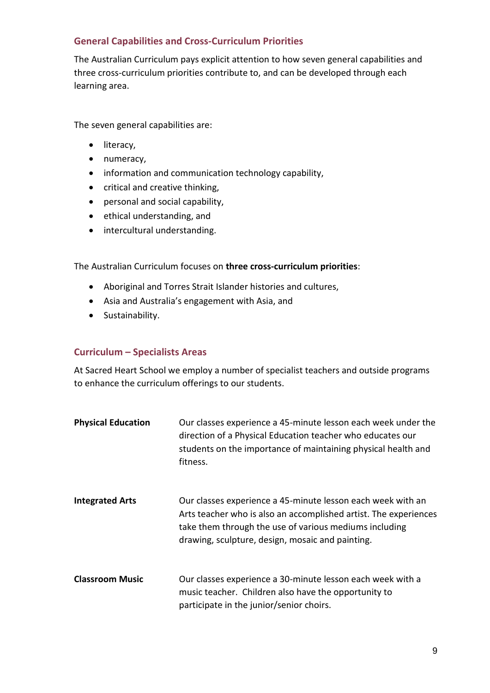## **General Capabilities and Cross-Curriculum Priorities**

The Australian Curriculum pays explicit attention to how seven general capabilities and three cross-curriculum priorities contribute to, and can be developed through each learning area.

The seven general capabilities are:

- literacy,
- numeracy,
- information and communication technology capability,
- critical and creative thinking,
- personal and social capability,
- ethical understanding, and
- intercultural understanding.

The Australian Curriculum focuses on **three cross-curriculum priorities**:

- Aboriginal and Torres Strait Islander histories and cultures,
- Asia and Australia's engagement with Asia, and
- Sustainability.

#### **Curriculum – Specialists Areas**

At Sacred Heart School we employ a number of specialist teachers and outside programs to enhance the curriculum offerings to our students.

| <b>Physical Education</b> | Our classes experience a 45-minute lesson each week under the<br>direction of a Physical Education teacher who educates our<br>students on the importance of maintaining physical health and<br>fitness.                                      |
|---------------------------|-----------------------------------------------------------------------------------------------------------------------------------------------------------------------------------------------------------------------------------------------|
| <b>Integrated Arts</b>    | Our classes experience a 45-minute lesson each week with an<br>Arts teacher who is also an accomplished artist. The experiences<br>take them through the use of various mediums including<br>drawing, sculpture, design, mosaic and painting. |
| <b>Classroom Music</b>    | Our classes experience a 30-minute lesson each week with a<br>music teacher. Children also have the opportunity to<br>participate in the junior/senior choirs.                                                                                |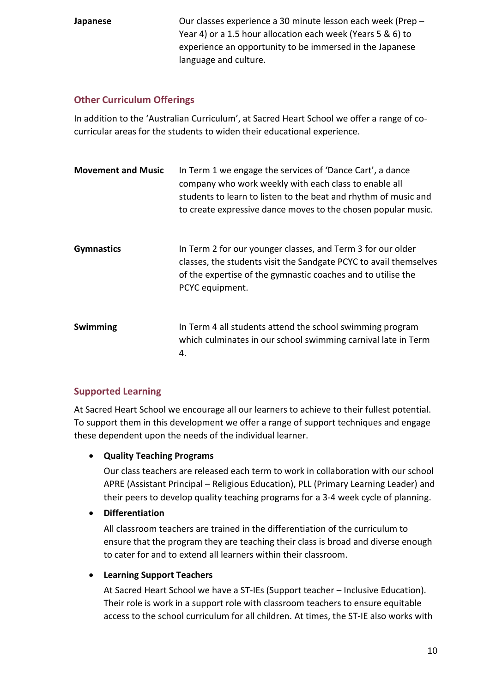**Japanese** Our classes experience a 30 minute lesson each week (Prep – Year 4) or a 1.5 hour allocation each week (Years 5 & 6) to experience an opportunity to be immersed in the Japanese language and culture.

## **Other Curriculum Offerings**

In addition to the 'Australian Curriculum', at Sacred Heart School we offer a range of cocurricular areas for the students to widen their educational experience.

| <b>Movement and Music</b> | In Term 1 we engage the services of 'Dance Cart', a dance<br>company who work weekly with each class to enable all<br>students to learn to listen to the beat and rhythm of music and<br>to create expressive dance moves to the chosen popular music. |
|---------------------------|--------------------------------------------------------------------------------------------------------------------------------------------------------------------------------------------------------------------------------------------------------|
| <b>Gymnastics</b>         | In Term 2 for our younger classes, and Term 3 for our older<br>classes, the students visit the Sandgate PCYC to avail themselves<br>of the expertise of the gymnastic coaches and to utilise the<br>PCYC equipment.                                    |
| Swimming                  | In Term 4 all students attend the school swimming program<br>which culminates in our school swimming carnival late in Term<br>4.                                                                                                                       |

## **Supported Learning**

At Sacred Heart School we encourage all our learners to achieve to their fullest potential. To support them in this development we offer a range of support techniques and engage these dependent upon the needs of the individual learner.

## • **Quality Teaching Programs**

Our class teachers are released each term to work in collaboration with our school APRE (Assistant Principal – Religious Education), PLL (Primary Learning Leader) and their peers to develop quality teaching programs for a 3-4 week cycle of planning.

## • **Differentiation**

All classroom teachers are trained in the differentiation of the curriculum to ensure that the program they are teaching their class is broad and diverse enough to cater for and to extend all learners within their classroom.

## • **Learning Support Teachers**

At Sacred Heart School we have a ST-IEs (Support teacher – Inclusive Education). Their role is work in a support role with classroom teachers to ensure equitable access to the school curriculum for all children. At times, the ST-IE also works with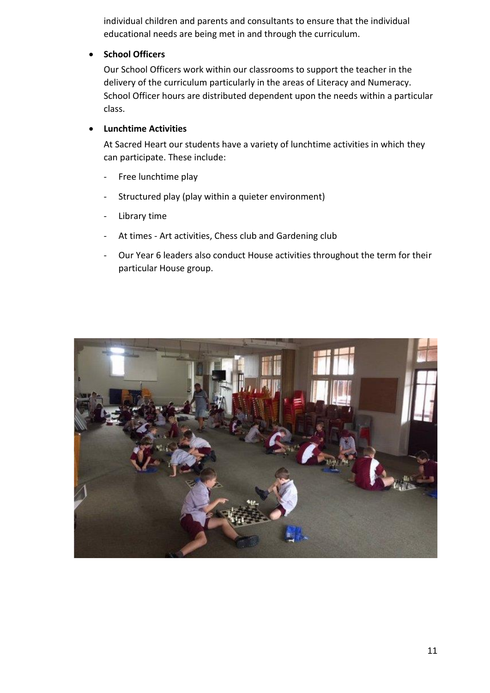individual children and parents and consultants to ensure that the individual educational needs are being met in and through the curriculum.

#### • **School Officers**

Our School Officers work within our classrooms to support the teacher in the delivery of the curriculum particularly in the areas of Literacy and Numeracy. School Officer hours are distributed dependent upon the needs within a particular class.

#### • **Lunchtime Activities**

At Sacred Heart our students have a variety of lunchtime activities in which they can participate. These include:

- Free lunchtime play
- Structured play (play within a quieter environment)
- Library time
- At times Art activities, Chess club and Gardening club
- Our Year 6 leaders also conduct House activities throughout the term for their particular House group.

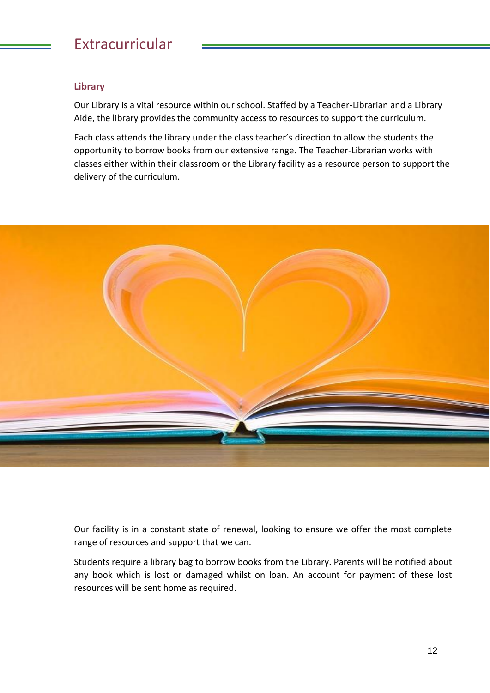# Extracurricular

## **Library**

Our Library is a vital resource within our school. Staffed by a Teacher-Librarian and a Library Aide, the library provides the community access to resources to support the curriculum.

Each class attends the library under the class teacher's direction to allow the students the opportunity to borrow books from our extensive range. The Teacher-Librarian works with classes either within their classroom or the Library facility as a resource person to support the delivery of the curriculum.



Our facility is in a constant state of renewal, looking to ensure we offer the most complete range of resources and support that we can.

Students require a library bag to borrow books from the Library. Parents will be notified about any book which is lost or damaged whilst on loan. An account for payment of these lost resources will be sent home as required.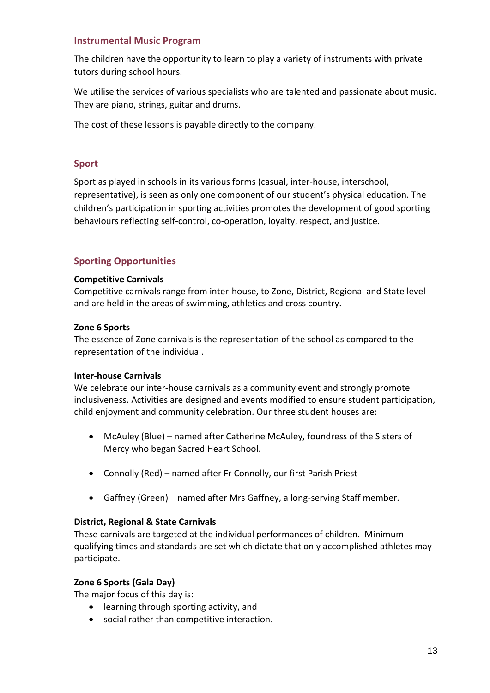#### **Instrumental Music Program**

The children have the opportunity to learn to play a variety of instruments with private tutors during school hours.

We utilise the services of various specialists who are talented and passionate about music. They are piano, strings, guitar and drums.

The cost of these lessons is payable directly to the company.

#### **Sport**

Sport as played in schools in its various forms (casual, inter-house, interschool, representative), is seen as only one component of our student's physical education. The children's participation in sporting activities promotes the development of good sporting behaviours reflecting self-control, co-operation, loyalty, respect, and justice.

### **Sporting Opportunities**

#### **Competitive Carnivals**

Competitive carnivals range from inter-house, to Zone, District, Regional and State level and are held in the areas of swimming, athletics and cross country.

#### **Zone 6 Sports**

**T**he essence of Zone carnivals is the representation of the school as compared to the representation of the individual.

#### **Inter-house Carnivals**

We celebrate our inter-house carnivals as a community event and strongly promote inclusiveness. Activities are designed and events modified to ensure student participation, child enjoyment and community celebration. Our three student houses are:

- McAuley (Blue) named after Catherine McAuley, foundress of the Sisters of Mercy who began Sacred Heart School.
- Connolly (Red) named after Fr Connolly, our first Parish Priest
- Gaffney (Green) named after Mrs Gaffney, a long-serving Staff member.

#### **District, Regional & State Carnivals**

These carnivals are targeted at the individual performances of children. Minimum qualifying times and standards are set which dictate that only accomplished athletes may participate.

#### **Zone 6 Sports (Gala Day)**

The major focus of this day is:

- learning through sporting activity, and
- social rather than competitive interaction.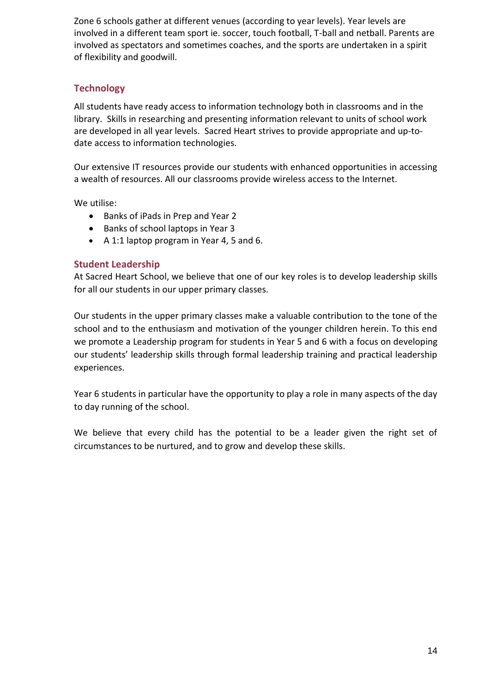Zone 6 schools gather at different venues (according to year levels). Year levels are involved in a different team sport ie. soccer, touch football, T-ball and netball. Parents are involved as spectators and sometimes coaches, and the sports are undertaken in a spirit of flexibility and goodwill.

## **Technology**

All students have ready access to information technology both in classrooms and in the library. Skills in researching and presenting information relevant to units of school work are developed in all year levels. Sacred Heart strives to provide appropriate and up-todate access to information technologies.

Our extensive IT resources provide our students with enhanced opportunities in accessing a wealth of resources. All our classrooms provide wireless access to the Internet.

We utilise:

- Banks of iPads in Prep and Year 2
- Banks of school laptops in Year 3
- A 1:1 laptop program in Year 4, 5 and 6.

#### **Student Leadership**

At Sacred Heart School, we believe that one of our key roles is to develop leadership skills for all our students in our upper primary classes.

Our students in the upper primary classes make a valuable contribution to the tone of the school and to the enthusiasm and motivation of the younger children herein. To this end we promote a Leadership program for students in Year 5 and 6 with a focus on developing our students' leadership skills through formal leadership training and practical leadership experiences.

Year 6 students in particular have the opportunity to play a role in many aspects of the day to day running of the school.

We believe that every child has the potential to be a leader given the right set of circumstances to be nurtured, and to grow and develop these skills.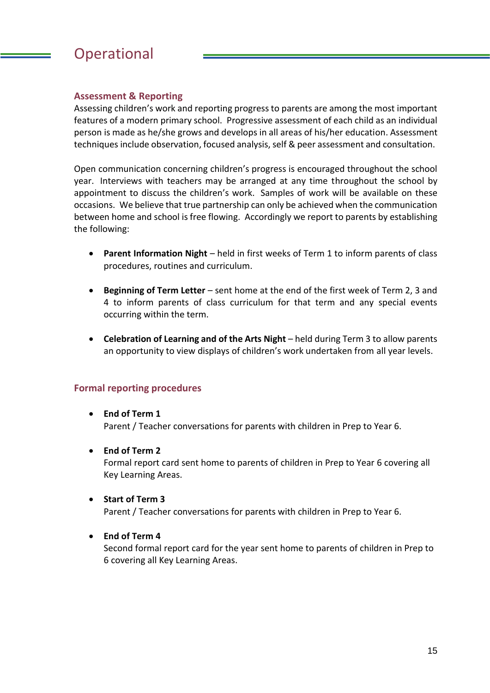# **Operational**

## **Assessment & Reporting**

Assessing children's work and reporting progress to parents are among the most important features of a modern primary school. Progressive assessment of each child as an individual person is made as he/she grows and develops in all areas of his/her education. Assessment techniques include observation, focused analysis, self & peer assessment and consultation.

Open communication concerning children's progress is encouraged throughout the school year. Interviews with teachers may be arranged at any time throughout the school by appointment to discuss the children's work. Samples of work will be available on these occasions. We believe that true partnership can only be achieved when the communication between home and school is free flowing. Accordingly we report to parents by establishing the following:

- **Parent Information Night** held in first weeks of Term 1 to inform parents of class procedures, routines and curriculum.
- **Beginning of Term Letter** sent home at the end of the first week of Term 2, 3 and 4 to inform parents of class curriculum for that term and any special events occurring within the term.
- **Celebration of Learning and of the Arts Night** held during Term 3 to allow parents an opportunity to view displays of children's work undertaken from all year levels.

#### **Formal reporting procedures**

- **End of Term 1** Parent / Teacher conversations for parents with children in Prep to Year 6.
- **End of Term 2** Formal report card sent home to parents of children in Prep to Year 6 covering all Key Learning Areas.
- **Start of Term 3**

Parent / Teacher conversations for parents with children in Prep to Year 6.

#### • **End of Term 4**

Second formal report card for the year sent home to parents of children in Prep to 6 covering all Key Learning Areas.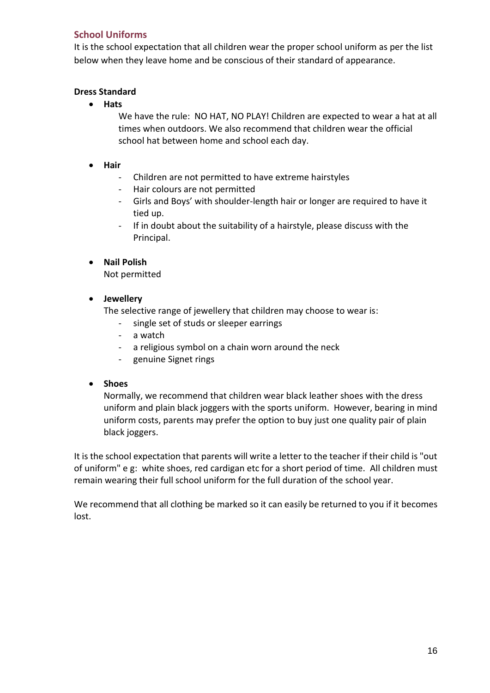## **School Uniforms**

It is the school expectation that all children wear the proper school uniform as per the list below when they leave home and be conscious of their standard of appearance.

### **Dress Standard**

• **Hats** 

We have the rule: NO HAT, NO PLAY! Children are expected to wear a hat at all times when outdoors. We also recommend that children wear the official school hat between home and school each day.

- **Hair** 
	- Children are not permitted to have extreme hairstyles
	- Hair colours are not permitted
	- Girls and Boys' with shoulder-length hair or longer are required to have it tied up.
	- If in doubt about the suitability of a hairstyle, please discuss with the Principal.

### • **Nail Polish**

Not permitted

• **Jewellery** 

The selective range of jewellery that children may choose to wear is:

- single set of studs or sleeper earrings
- a watch
- a religious symbol on a chain worn around the neck
- genuine Signet rings

#### • **Shoes**

Normally, we recommend that children wear black leather shoes with the dress uniform and plain black joggers with the sports uniform. However, bearing in mind uniform costs, parents may prefer the option to buy just one quality pair of plain black joggers.

It is the school expectation that parents will write a letter to the teacher if their child is "out of uniform" e g: white shoes, red cardigan etc for a short period of time. All children must remain wearing their full school uniform for the full duration of the school year.

We recommend that all clothing be marked so it can easily be returned to you if it becomes lost.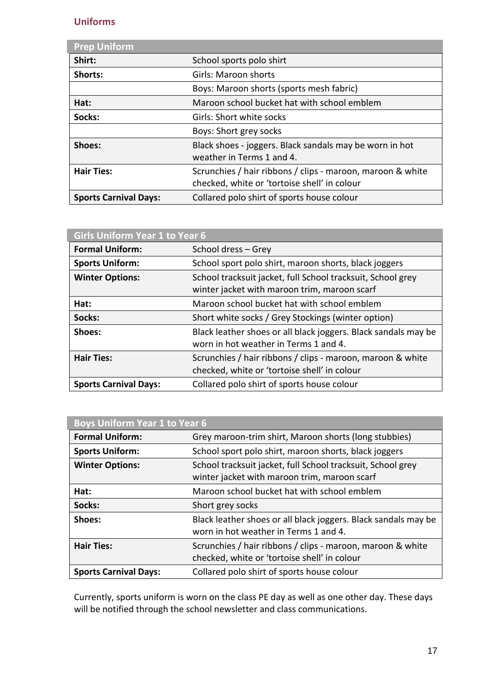## **Uniforms**

| <b>Prep Uniform</b>          |                                                                                                            |
|------------------------------|------------------------------------------------------------------------------------------------------------|
| Shirt:                       | School sports polo shirt                                                                                   |
| Shorts:                      | <b>Girls: Maroon shorts</b>                                                                                |
|                              | Boys: Maroon shorts (sports mesh fabric)                                                                   |
| Hat:                         | Maroon school bucket hat with school emblem                                                                |
| Socks:                       | Girls: Short white socks                                                                                   |
|                              | Boys: Short grey socks                                                                                     |
| Shoes:                       | Black shoes - joggers. Black sandals may be worn in hot<br>weather in Terms 1 and 4.                       |
| <b>Hair Ties:</b>            | Scrunchies / hair ribbons / clips - maroon, maroon & white<br>checked, white or 'tortoise shell' in colour |
| <b>Sports Carnival Days:</b> | Collared polo shirt of sports house colour                                                                 |

| <b>Girls Uniform Year 1 to Year 6</b> |                                                                                                             |
|---------------------------------------|-------------------------------------------------------------------------------------------------------------|
| <b>Formal Uniform:</b>                | School dress - Grey                                                                                         |
| <b>Sports Uniform:</b>                | School sport polo shirt, maroon shorts, black joggers                                                       |
| <b>Winter Options:</b>                | School tracksuit jacket, full School tracksuit, School grey<br>winter jacket with maroon trim, maroon scarf |
| Hat:                                  | Maroon school bucket hat with school emblem                                                                 |
| Socks:                                | Short white socks / Grey Stockings (winter option)                                                          |
| Shoes:                                | Black leather shoes or all black joggers. Black sandals may be<br>worn in hot weather in Terms 1 and 4.     |
| <b>Hair Ties:</b>                     | Scrunchies / hair ribbons / clips - maroon, maroon & white<br>checked, white or 'tortoise shell' in colour  |
| <b>Sports Carnival Days:</b>          | Collared polo shirt of sports house colour                                                                  |

| <b>Boys Uniform Year 1 to Year 6</b> |                                                                                                             |
|--------------------------------------|-------------------------------------------------------------------------------------------------------------|
| <b>Formal Uniform:</b>               | Grey maroon-trim shirt, Maroon shorts (long stubbies)                                                       |
| <b>Sports Uniform:</b>               | School sport polo shirt, maroon shorts, black joggers                                                       |
| <b>Winter Options:</b>               | School tracksuit jacket, full School tracksuit, School grey<br>winter jacket with maroon trim, maroon scarf |
| Hat:                                 | Maroon school bucket hat with school emblem                                                                 |
| Socks:                               | Short grey socks                                                                                            |
| Shoes:                               | Black leather shoes or all black joggers. Black sandals may be<br>worn in hot weather in Terms 1 and 4.     |
| <b>Hair Ties:</b>                    | Scrunchies / hair ribbons / clips - maroon, maroon & white<br>checked, white or 'tortoise shell' in colour  |
| <b>Sports Carnival Days:</b>         | Collared polo shirt of sports house colour                                                                  |

Currently, sports uniform is worn on the class PE day as well as one other day. These days will be notified through the school newsletter and class communications.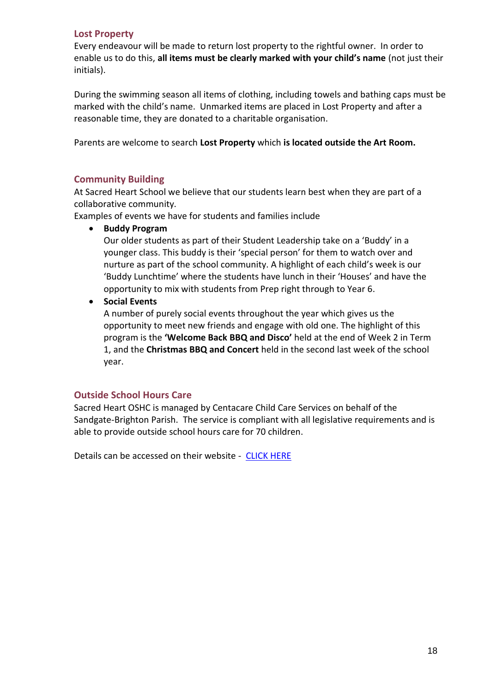#### **Lost Property**

Every endeavour will be made to return lost property to the rightful owner. In order to enable us to do this, **all items must be clearly marked with your child's name** (not just their initials).

During the swimming season all items of clothing, including towels and bathing caps must be marked with the child's name. Unmarked items are placed in Lost Property and after a reasonable time, they are donated to a charitable organisation.

Parents are welcome to search **Lost Property** which **is located outside the Art Room.**

#### **Community Building**

At Sacred Heart School we believe that our students learn best when they are part of a collaborative community.

Examples of events we have for students and families include

• **Buddy Program**

Our older students as part of their Student Leadership take on a 'Buddy' in a younger class. This buddy is their 'special person' for them to watch over and nurture as part of the school community. A highlight of each child's week is our 'Buddy Lunchtime' where the students have lunch in their 'Houses' and have the opportunity to mix with students from Prep right through to Year 6.

• **Social Events**

A number of purely social events throughout the year which gives us the opportunity to meet new friends and engage with old one. The highlight of this program is the **'Welcome Back BBQ and Disco'** held at the end of Week 2 in Term 1, and the **Christmas BBQ and Concert** held in the second last week of the school year.

#### **Outside School Hours Care**

Sacred Heart OSHC is managed by Centacare Child Care Services on behalf of the Sandgate-Brighton Parish. The service is compliant with all legislative requirements and is able to provide outside school hours care for 70 children.

Details can be accessed on their website - [CLICK HERE](https://www.catholicearlyedcare.qld.edu.au/sacred-heart-outside-school-hours-care-sandgate/)